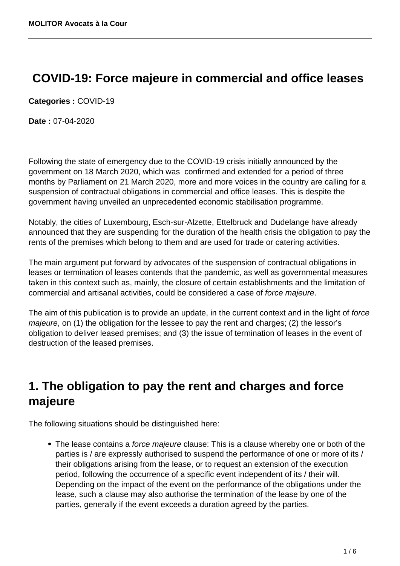# **COVID-19: Force majeure in commercial and office leases**

**Categories :** COVID-19

**Date :** 07-04-2020

Following the state of emergency due to the COVID-19 crisis initially announced by the government on 18 March 2020, which was confirmed and extended for a period of three months by Parliament on 21 March 2020, more and more voices in the country are calling for a suspension of contractual obligations in commercial and office leases. This is despite the government having unveiled an unprecedented economic stabilisation programme.

Notably, the cities of Luxembourg, Esch-sur-Alzette, Ettelbruck and Dudelange have already announced that they are suspending for the duration of the health crisis the obligation to pay the rents of the premises which belong to them and are used for trade or catering activities.

The main argument put forward by advocates of the suspension of contractual obligations in leases or termination of leases contends that the pandemic, as well as governmental measures taken in this context such as, mainly, the closure of certain establishments and the limitation of commercial and artisanal activities, could be considered a case of force majeure.

The aim of this publication is to provide an update, in the current context and in the light of force majeure, on (1) the obligation for the lessee to pay the rent and charges; (2) the lessor's obligation to deliver leased premises; and (3) the issue of termination of leases in the event of destruction of the leased premises.

# **1. The obligation to pay the rent and charges and force majeure**

The following situations should be distinguished here:

• The lease contains a force majeure clause: This is a clause whereby one or both of the parties is / are expressly authorised to suspend the performance of one or more of its / their obligations arising from the lease, or to request an extension of the execution period, following the occurrence of a specific event independent of its / their will. Depending on the impact of the event on the performance of the obligations under the lease, such a clause may also authorise the termination of the lease by one of the parties, generally if the event exceeds a duration agreed by the parties.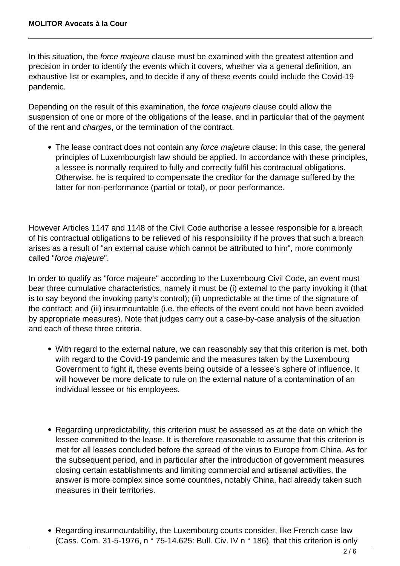In this situation, the *force majeure* clause must be examined with the greatest attention and precision in order to identify the events which it covers, whether via a general definition, an exhaustive list or examples, and to decide if any of these events could include the Covid-19 pandemic.

Depending on the result of this examination, the force majeure clause could allow the suspension of one or more of the obligations of the lease, and in particular that of the payment of the rent and charges, or the termination of the contract.

• The lease contract does not contain any force majeure clause: In this case, the general principles of Luxembourgish law should be applied. In accordance with these principles, a lessee is normally required to fully and correctly fulfil his contractual obligations. Otherwise, he is required to compensate the creditor for the damage suffered by the latter for non-performance (partial or total), or poor performance.

However Articles 1147 and 1148 of the Civil Code authorise a lessee responsible for a breach of his contractual obligations to be relieved of his responsibility if he proves that such a breach arises as a result of "an external cause which cannot be attributed to him", more commonly called "force majeure".

In order to qualify as "force majeure" according to the Luxembourg Civil Code, an event must bear three cumulative characteristics, namely it must be (i) external to the party invoking it (that is to say beyond the invoking party's control); (ii) unpredictable at the time of the signature of the contract; and (iii) insurmountable (i.e. the effects of the event could not have been avoided by appropriate measures). Note that judges carry out a case-by-case analysis of the situation and each of these three criteria.

- With regard to the external nature, we can reasonably say that this criterion is met, both with regard to the Covid-19 pandemic and the measures taken by the Luxembourg Government to fight it, these events being outside of a lessee's sphere of influence. It will however be more delicate to rule on the external nature of a contamination of an individual lessee or his employees.
- Regarding unpredictability, this criterion must be assessed as at the date on which the lessee committed to the lease. It is therefore reasonable to assume that this criterion is met for all leases concluded before the spread of the virus to Europe from China. As for the subsequent period, and in particular after the introduction of government measures closing certain establishments and limiting commercial and artisanal activities, the answer is more complex since some countries, notably China, had already taken such measures in their territories.
- Regarding insurmountability, the Luxembourg courts consider, like French case law (Cass. Com. 31-5-1976, n ° 75-14.625: Bull. Civ. IV n ° 186), that this criterion is only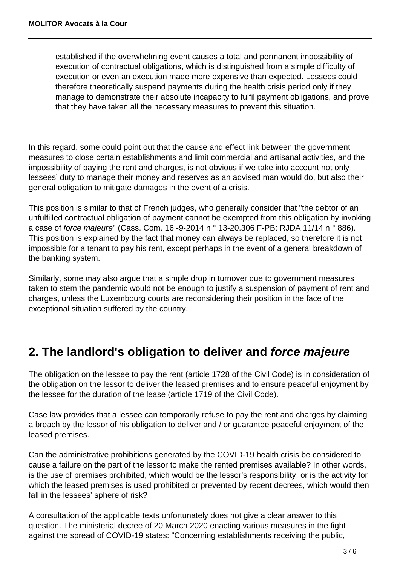established if the overwhelming event causes a total and permanent impossibility of execution of contractual obligations, which is distinguished from a simple difficulty of execution or even an execution made more expensive than expected. Lessees could therefore theoretically suspend payments during the health crisis period only if they manage to demonstrate their absolute incapacity to fulfil payment obligations, and prove that they have taken all the necessary measures to prevent this situation.

In this regard, some could point out that the cause and effect link between the government measures to close certain establishments and limit commercial and artisanal activities, and the impossibility of paying the rent and charges, is not obvious if we take into account not only lessees' duty to manage their money and reserves as an advised man would do, but also their general obligation to mitigate damages in the event of a crisis.

This position is similar to that of French judges, who generally consider that "the debtor of an unfulfilled contractual obligation of payment cannot be exempted from this obligation by invoking a case of force majeure" (Cass. Com. 16 -9-2014 n ° 13-20.306 F-PB: RJDA 11/14 n ° 886). This position is explained by the fact that money can always be replaced, so therefore it is not impossible for a tenant to pay his rent, except perhaps in the event of a general breakdown of the banking system.

Similarly, some may also argue that a simple drop in turnover due to government measures taken to stem the pandemic would not be enough to justify a suspension of payment of rent and charges, unless the Luxembourg courts are reconsidering their position in the face of the exceptional situation suffered by the country.

# **2. The landlord's obligation to deliver and force majeure**

The obligation on the lessee to pay the rent (article 1728 of the Civil Code) is in consideration of the obligation on the lessor to deliver the leased premises and to ensure peaceful enjoyment by the lessee for the duration of the lease (article 1719 of the Civil Code).

Case law provides that a lessee can temporarily refuse to pay the rent and charges by claiming a breach by the lessor of his obligation to deliver and / or guarantee peaceful enjoyment of the leased premises.

Can the administrative prohibitions generated by the COVID-19 health crisis be considered to cause a failure on the part of the lessor to make the rented premises available? In other words, is the use of premises prohibited, which would be the lessor's responsibility, or is the activity for which the leased premises is used prohibited or prevented by recent decrees, which would then fall in the lessees' sphere of risk?

A consultation of the applicable texts unfortunately does not give a clear answer to this question. The ministerial decree of 20 March 2020 enacting various measures in the fight against the spread of COVID-19 states: "Concerning establishments receiving the public,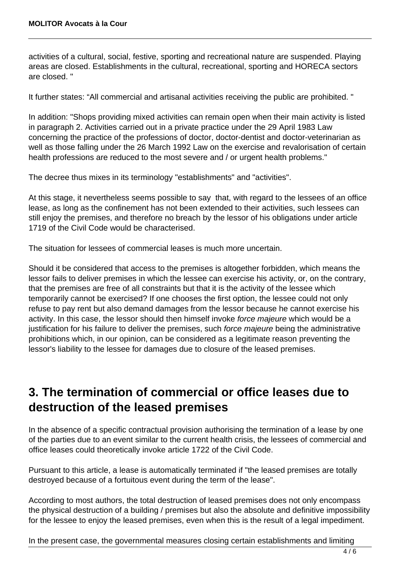activities of a cultural, social, festive, sporting and recreational nature are suspended. Playing areas are closed. Establishments in the cultural, recreational, sporting and HORECA sectors are closed. "

It further states: "All commercial and artisanal activities receiving the public are prohibited. "

In addition: "Shops providing mixed activities can remain open when their main activity is listed in paragraph 2. Activities carried out in a private practice under the 29 April 1983 Law concerning the practice of the professions of doctor, doctor-dentist and doctor-veterinarian as well as those falling under the 26 March 1992 Law on the exercise and revalorisation of certain health professions are reduced to the most severe and / or urgent health problems."

The decree thus mixes in its terminology "establishments" and "activities".

At this stage, it nevertheless seems possible to say that, with regard to the lessees of an office lease, as long as the confinement has not been extended to their activities, such lessees can still enjoy the premises, and therefore no breach by the lessor of his obligations under article 1719 of the Civil Code would be characterised.

The situation for lessees of commercial leases is much more uncertain.

Should it be considered that access to the premises is altogether forbidden, which means the lessor fails to deliver premises in which the lessee can exercise his activity, or, on the contrary, that the premises are free of all constraints but that it is the activity of the lessee which temporarily cannot be exercised? If one chooses the first option, the lessee could not only refuse to pay rent but also demand damages from the lessor because he cannot exercise his activity. In this case, the lessor should then himself invoke force majeure which would be a justification for his failure to deliver the premises, such force majeure being the administrative prohibitions which, in our opinion, can be considered as a legitimate reason preventing the lessor's liability to the lessee for damages due to closure of the leased premises.

# **3. The termination of commercial or office leases due to destruction of the leased premises**

In the absence of a specific contractual provision authorising the termination of a lease by one of the parties due to an event similar to the current health crisis, the lessees of commercial and office leases could theoretically invoke article 1722 of the Civil Code.

Pursuant to this article, a lease is automatically terminated if "the leased premises are totally destroyed because of a fortuitous event during the term of the lease".

According to most authors, the total destruction of leased premises does not only encompass the physical destruction of a building / premises but also the absolute and definitive impossibility for the lessee to enjoy the leased premises, even when this is the result of a legal impediment.

In the present case, the governmental measures closing certain establishments and limiting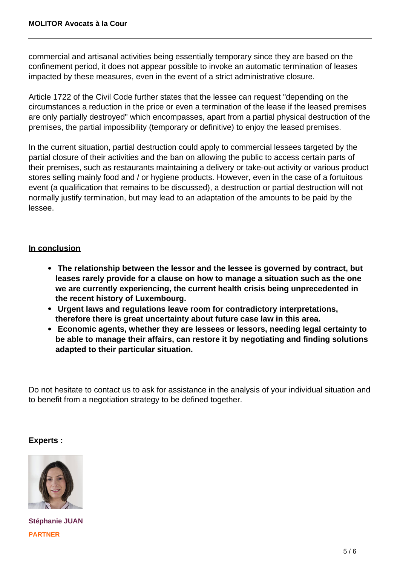commercial and artisanal activities being essentially temporary since they are based on the confinement period, it does not appear possible to invoke an automatic termination of leases impacted by these measures, even in the event of a strict administrative closure.

Article 1722 of the Civil Code further states that the lessee can request "depending on the circumstances a reduction in the price or even a termination of the lease if the leased premises are only partially destroyed" which encompasses, apart from a partial physical destruction of the premises, the partial impossibility (temporary or definitive) to enjoy the leased premises.

In the current situation, partial destruction could apply to commercial lessees targeted by the partial closure of their activities and the ban on allowing the public to access certain parts of their premises, such as restaurants maintaining a delivery or take-out activity or various product stores selling mainly food and / or hygiene products. However, even in the case of a fortuitous event (a qualification that remains to be discussed), a destruction or partial destruction will not normally justify termination, but may lead to an adaptation of the amounts to be paid by the lessee.

### **In conclusion**

- **The relationship between the lessor and the lessee is governed by contract, but leases rarely provide for a clause on how to manage a situation such as the one we are currently experiencing, the current health crisis being unprecedented in the recent history of Luxembourg.**
- **Urgent laws and regulations leave room for contradictory interpretations, therefore there is great uncertainty about future case law in this area.**
- **Economic agents, whether they are lessees or lessors, needing legal certainty to be able to manage their affairs, can restore it by negotiating and finding solutions adapted to their particular situation.**

Do not hesitate to contact us to ask for assistance in the analysis of your individual situation and to benefit from a negotiation strategy to be defined together.

### **Experts :**



**Stéphanie JUAN PARTNER**